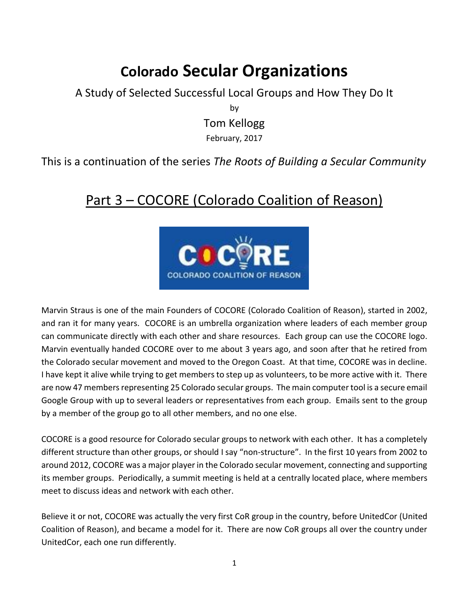## **Colorado Secular Organizations**

A Study of Selected Successful Local Groups and How They Do It by Tom Kellogg

February, 2017

## This is a continuation of the series *The Roots of Building a Secular Community*

## Part 3 – COCORE (Colorado Coalition of Reason)



Marvin Straus is one of the main Founders of COCORE (Colorado Coalition of Reason), started in 2002, and ran it for many years. COCORE is an umbrella organization where leaders of each member group can communicate directly with each other and share resources. Each group can use the COCORE logo. Marvin eventually handed COCORE over to me about 3 years ago, and soon after that he retired from the Colorado secular movement and moved to the Oregon Coast. At that time, COCORE was in decline. I have kept it alive while trying to get members to step up as volunteers, to be more active with it. There are now 47 members representing 25 Colorado secular groups. The main computer tool is a secure email Google Group with up to several leaders or representatives from each group. Emails sent to the group by a member of the group go to all other members, and no one else.

COCORE is a good resource for Colorado secular groups to network with each other. It has a completely different structure than other groups, or should I say "non-structure". In the first 10 years from 2002 to around 2012, COCORE was a major player in the Colorado secular movement, connecting and supporting its member groups. Periodically, a summit meeting is held at a centrally located place, where members meet to discuss ideas and network with each other.

Believe it or not, COCORE was actually the very first CoR group in the country, before UnitedCor (United Coalition of Reason), and became a model for it. There are now CoR groups all over the country under UnitedCor, each one run differently.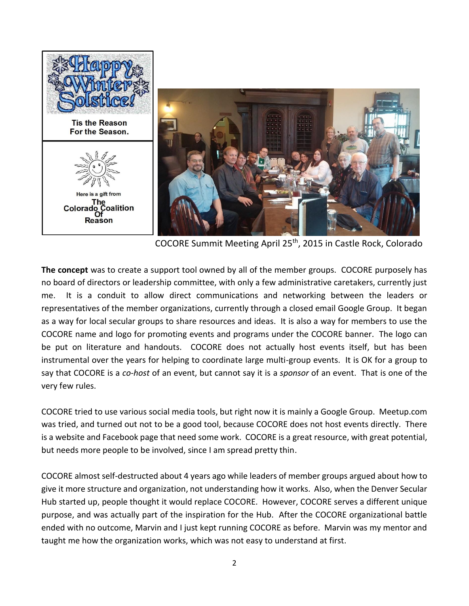

COCORE Summit Meeting April 25th, 2015 in Castle Rock, Colorado

**The concept** was to create a support tool owned by all of the member groups. COCORE purposely has no board of directors or leadership committee, with only a few administrative caretakers, currently just me. It is a conduit to allow direct communications and networking between the leaders or representatives of the member organizations, currently through a closed email Google Group. It began as a way for local secular groups to share resources and ideas. It is also a way for members to use the COCORE name and logo for promoting events and programs under the COCORE banner. The logo can be put on literature and handouts. COCORE does not actually host events itself, but has been instrumental over the years for helping to coordinate large multi-group events. It is OK for a group to say that COCORE is a *co-host* of an event, but cannot say it is a *sponsor* of an event. That is one of the very few rules.

COCORE tried to use various social media tools, but right now it is mainly a Google Group. Meetup.com was tried, and turned out not to be a good tool, because COCORE does not host events directly. There is a website and Facebook page that need some work. COCORE is a great resource, with great potential, but needs more people to be involved, since I am spread pretty thin.

COCORE almost self-destructed about 4 years ago while leaders of member groups argued about how to give it more structure and organization, not understanding how it works. Also, when the Denver Secular Hub started up, people thought it would replace COCORE. However, COCORE serves a different unique purpose, and was actually part of the inspiration for the Hub. After the COCORE organizational battle ended with no outcome, Marvin and I just kept running COCORE as before. Marvin was my mentor and taught me how the organization works, which was not easy to understand at first.